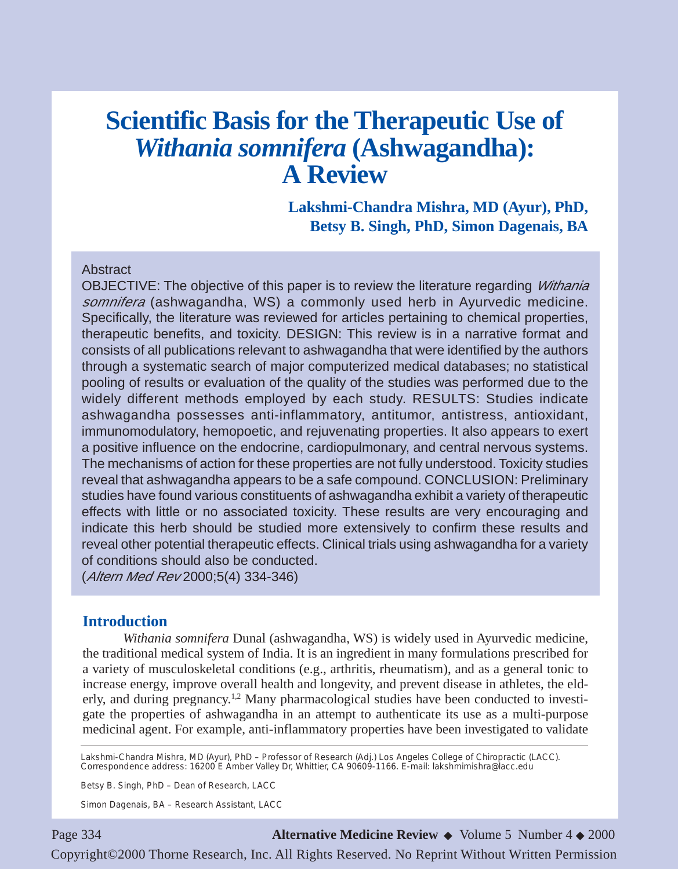# **Scientific Basis for the Therapeutic Use of** *Withania somnifera* **(Ashwagandha): A Review**

**Lakshmi-Chandra Mishra, MD (Ayur), PhD, Betsy B. Singh, PhD, Simon Dagenais, BA**

#### **Abstract**

OBJECTIVE: The objective of this paper is to review the literature regarding *Withania* somnifera (ashwagandha, WS) a commonly used herb in Ayurvedic medicine. Specifically, the literature was reviewed for articles pertaining to chemical properties, therapeutic benefits, and toxicity. DESIGN: This review is in a narrative format and consists of all publications relevant to ashwagandha that were identified by the authors through a systematic search of major computerized medical databases; no statistical pooling of results or evaluation of the quality of the studies was performed due to the widely different methods employed by each study. RESULTS: Studies indicate ashwagandha possesses anti-inflammatory, antitumor, antistress, antioxidant, immunomodulatory, hemopoetic, and rejuvenating properties. It also appears to exert a positive influence on the endocrine, cardiopulmonary, and central nervous systems. The mechanisms of action for these properties are not fully understood. Toxicity studies reveal that ashwagandha appears to be a safe compound. CONCLUSION: Preliminary studies have found various constituents of ashwagandha exhibit a variety of therapeutic effects with little or no associated toxicity. These results are very encouraging and indicate this herb should be studied more extensively to confirm these results and reveal other potential therapeutic effects. Clinical trials using ashwagandha for a variety of conditions should also be conducted. (Altern Med Rev 2000;5(4) 334-346)

#### **Introduction**

*Withania somnifera* Dunal (ashwagandha, WS) is widely used in Ayurvedic medicine, the traditional medical system of India. It is an ingredient in many formulations prescribed for a variety of musculoskeletal conditions (e.g., arthritis, rheumatism), and as a general tonic to increase energy, improve overall health and longevity, and prevent disease in athletes, the elderly, and during pregnancy.1,2 Many pharmacological studies have been conducted to investigate the properties of ashwagandha in an attempt to authenticate its use as a multi-purpose medicinal agent. For example, anti-inflammatory properties have been investigated to validate

Lakshmi-Chandra Mishra, MD (Ayur), PhD – Professor of Research (Adj.) Los Angeles College of Chiropractic (LACC). Correspondence address: 16200 E Amber Valley Dr, Whittier, CA 90609-1166. E-mail: lakshmimishra@lacc.edu

Betsy B. Singh, PhD – Dean of Research, LACC

Simon Dagenais, BA – Research Assistant, LACC

Page 334 **Alternative Medicine Review** ◆ Volume 5 Number 4 ◆ 2000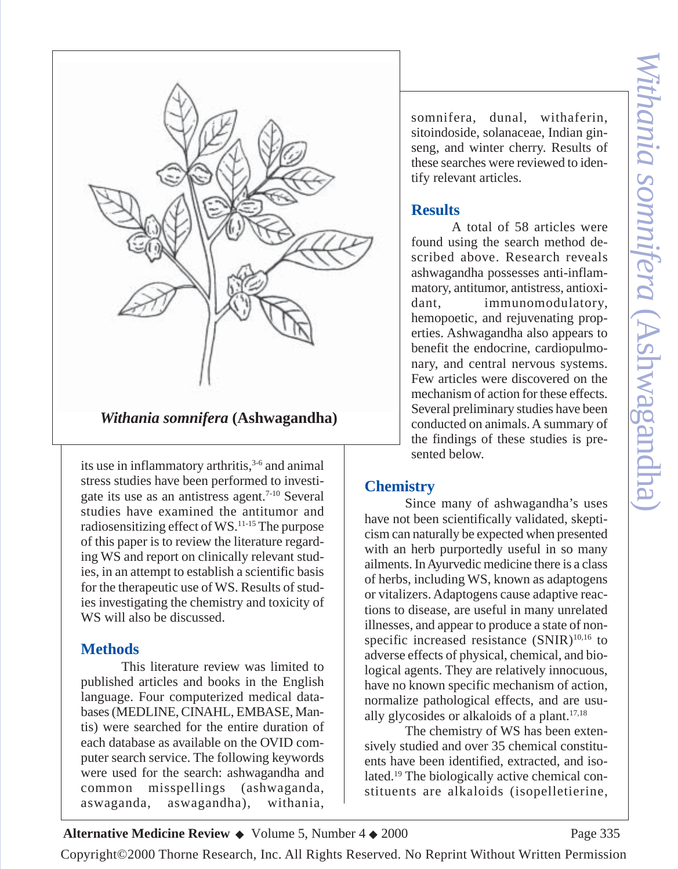

*Withania somnifera* **(Ashwagandha)**

its use in inflammatory arthritis,<sup>3-6</sup> and animal stress studies have been performed to investigate its use as an antistress agent.7-10 Several studies have examined the antitumor and radiosensitizing effect of WS.11-15 The purpose of this paper is to review the literature regarding WS and report on clinically relevant studies, in an attempt to establish a scientific basis for the therapeutic use of WS. Results of studies investigating the chemistry and toxicity of WS will also be discussed.

# **Methods**

This literature review was limited to published articles and books in the English language. Four computerized medical databases (MEDLINE, CINAHL, EMBASE, Mantis) were searched for the entire duration of each database as available on the OVID computer search service. The following keywords were used for the search: ashwagandha and common misspellings (ashwaganda, aswaganda, aswagandha), withania,

somnifera, dunal, withaferin, sitoindoside, solanaceae, Indian ginseng, and winter cherry. Results of these searches were reviewed to identify relevant articles.

# **Results**

A total of 58 articles were found using the search method described above. Research reveals ashwagandha possesses anti-inflammatory, antitumor, antistress, antioxidant, immunomodulatory, hemopoetic, and rejuvenating properties. Ashwagandha also appears to benefit the endocrine, cardiopulmonary, and central nervous systems. Few articles were discovered on the mechanism of action for these effects. Several preliminary studies have been conducted on animals. A summary of the findings of these studies is presented below.

# **Chemistry**

Since many of ashwagandha's uses have not been scientifically validated, skepticism can naturally be expected when presented with an herb purportedly useful in so many ailments. In Ayurvedic medicine there is a class of herbs, including WS, known as adaptogens or vitalizers. Adaptogens cause adaptive reactions to disease, are useful in many unrelated illnesses, and appear to produce a state of nonspecific increased resistance  $(SNIR)^{10,16}$  to adverse effects of physical, chemical, and biological agents. They are relatively innocuous, have no known specific mechanism of action, normalize pathological effects, and are usually glycosides or alkaloids of a plant. $17,18$ 

The chemistry of WS has been extensively studied and over 35 chemical constituents have been identified, extracted, and isolated.19 The biologically active chemical constituents are alkaloids (isopelletierine,

**Alternative Medicine Review ◆** Volume 5, Number 4 ◆ 2000 Page 335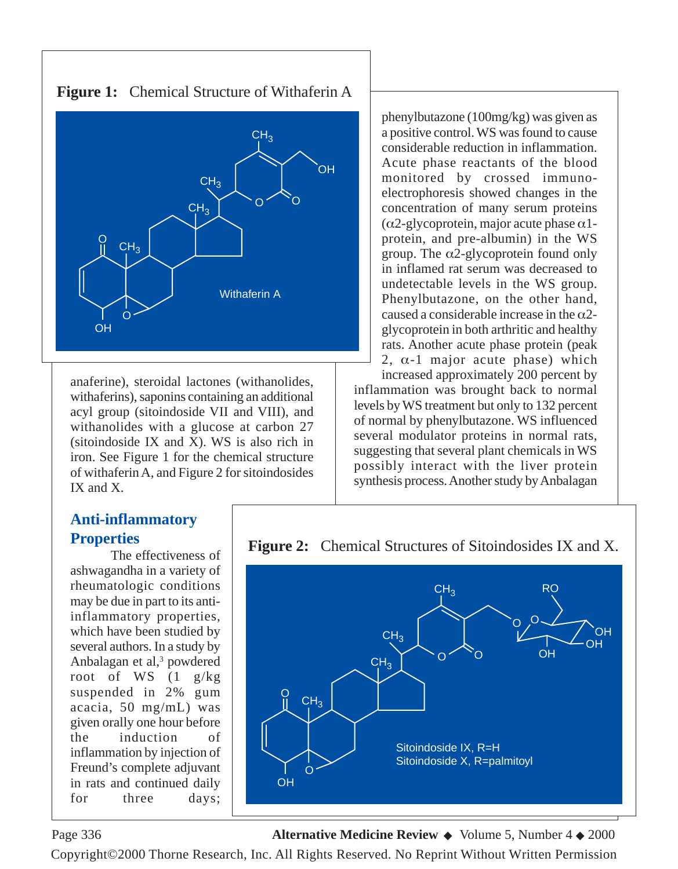



anaferine), steroidal lactones (withanolides, withaferins), saponins containing an additional acyl group (sitoindoside VII and VIII), and withanolides with a glucose at carbon 27 (sitoindoside IX and X). WS is also rich in iron. See Figure 1 for the chemical structure of withaferin A, and Figure 2 for sitoindosides IX and X.

# **Anti-inflammatory Properties**

The effectiveness of ashwagandha in a variety of rheumatologic conditions may be due in part to its antiinflammatory properties, which have been studied by several authors. In a study by Anbalagan et al, $3$  powdered root of  $WS$  (1 g/kg) suspended in 2% gum acacia, 50 mg/mL) was given orally one hour before the induction of inflammation by injection of Freund's complete adjuvant in rats and continued daily for three days; phenylbutazone (100mg/kg) was given as a positive control. WS was found to cause considerable reduction in inflammation. Acute phase reactants of the blood monitored by crossed immunoelectrophoresis showed changes in the concentration of many serum proteins (α2-glycoprotein, major acute phase α1 protein, and pre-albumin) in the WS group. The  $\alpha$ 2-glycoprotein found only in inflamed rat serum was decreased to undetectable levels in the WS group. Phenylbutazone, on the other hand, caused a considerable increase in the  $\alpha$ 2glycoprotein in both arthritic and healthy rats. Another acute phase protein (peak 2,  $\alpha$ -1 major acute phase) which

increased approximately 200 percent by inflammation was brought back to normal levels by WS treatment but only to 132 percent of normal by phenylbutazone. WS influenced several modulator proteins in normal rats, suggesting that several plant chemicals in WS possibly interact with the liver protein synthesis process. Another study by Anbalagan





Page 336 **Alternative Medicine Review** ◆ Volume 5, Number 4 ◆ 2000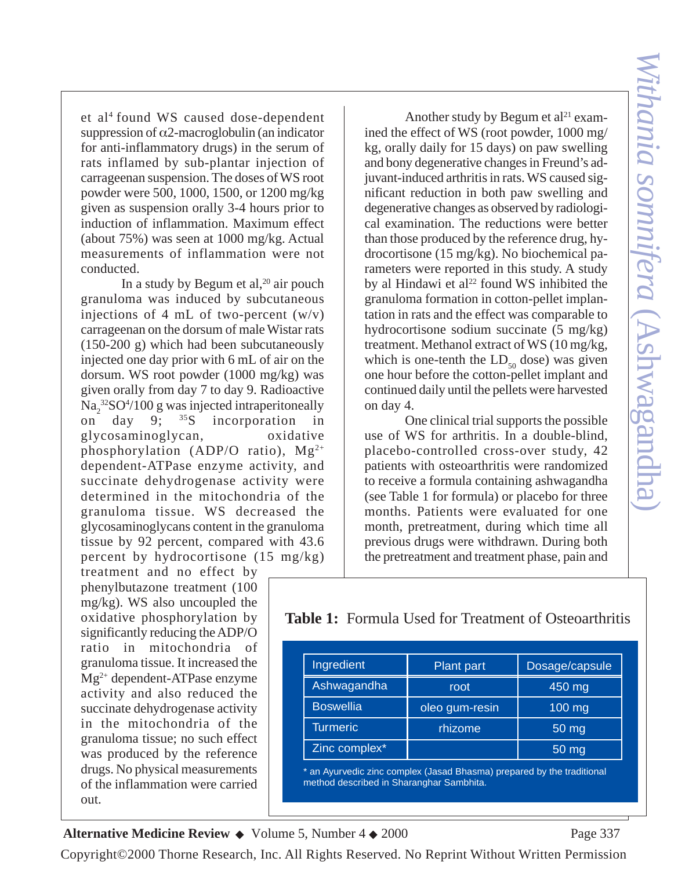et al<sup>4</sup> found WS caused dose-dependent suppression of  $\alpha$ 2-macroglobulin (an indicator for anti-inflammatory drugs) in the serum of rats inflamed by sub-plantar injection of carrageenan suspension. The doses of WS root powder were 500, 1000, 1500, or 1200 mg/kg given as suspension orally 3-4 hours prior to induction of inflammation. Maximum effect (about 75%) was seen at 1000 mg/kg. Actual measurements of inflammation were not conducted.

In a study by Begum et al, $^{20}$  air pouch granuloma was induced by subcutaneous injections of 4 mL of two-percent  $(w/v)$ carrageenan on the dorsum of male Wistar rats (150-200 g) which had been subcutaneously injected one day prior with 6 mL of air on the dorsum. WS root powder (1000 mg/kg) was given orally from day 7 to day 9. Radioactive  $\text{Na}_2^{\,32}\text{SO}^4/100$  g was injected intraperitoneally on day 9; 35S incorporation in glycosaminoglycan, oxidative phosphorylation (ADP/O ratio),  $Mg^{2+}$ dependent-ATPase enzyme activity, and succinate dehydrogenase activity were determined in the mitochondria of the granuloma tissue. WS decreased the glycosaminoglycans content in the granuloma tissue by 92 percent, compared with 43.6 percent by hydrocortisone  $(15 \text{ mg/kg})$ 

treatment and no effect by phenylbutazone treatment (100 mg/kg). WS also uncoupled the oxidative phosphorylation by significantly reducing the ADP/O ratio in mitochondria of granuloma tissue. It increased the Mg2+ dependent-ATPase enzyme activity and also reduced the succinate dehydrogenase activity in the mitochondria of the granuloma tissue; no such effect was produced by the reference drugs. No physical measurements of the inflammation were carried out.

Another study by Begum et  $al<sup>21</sup>$  examined the effect of WS (root powder, 1000 mg/ kg, orally daily for 15 days) on paw swelling and bony degenerative changes in Freund's adjuvant-induced arthritis in rats. WS caused significant reduction in both paw swelling and degenerative changes as observed by radiological examination. The reductions were better than those produced by the reference drug, hydrocortisone (15 mg/kg). No biochemical parameters were reported in this study. A study by al Hindawi et  $al^{22}$  found WS inhibited the granuloma formation in cotton-pellet implantation in rats and the effect was comparable to hydrocortisone sodium succinate (5 mg/kg) treatment. Methanol extract of WS (10 mg/kg, which is one-tenth the  $LD_{50}$  dose) was given one hour before the cotton-pellet implant and continued daily until the pellets were harvested on day 4.

One clinical trial supports the possible use of WS for arthritis. In a double-blind, placebo-controlled cross-over study, 42 patients with osteoarthritis were randomized to receive a formula containing ashwagandha (see Table 1 for formula) or placebo for three months. Patients were evaluated for one month, pretreatment, during which time all previous drugs were withdrawn. During both the pretreatment and treatment phase, pain and

| <b>Table 1:</b> Formula Used for Treatment of Osteoarthritis |  |
|--------------------------------------------------------------|--|
|--------------------------------------------------------------|--|

| Ingredient       | Plant part     | Dosage/capsule   |
|------------------|----------------|------------------|
| Ashwagandha      | root           | 450 mg           |
| <b>Boswellia</b> | oleo gum-resin | $100 \text{ mg}$ |
| <b>Turmeric</b>  | rhizome        | 50 mg            |
| Zinc complex*    |                | $50 \text{ mg}$  |

an Ayurvedic zinc complex (Jasad Bhasma) prepared by the traditional method described in Sharanghar Sambhita.

**Alternative Medicine Review ◆** Volume 5, Number 4 ◆ 2000 Page 337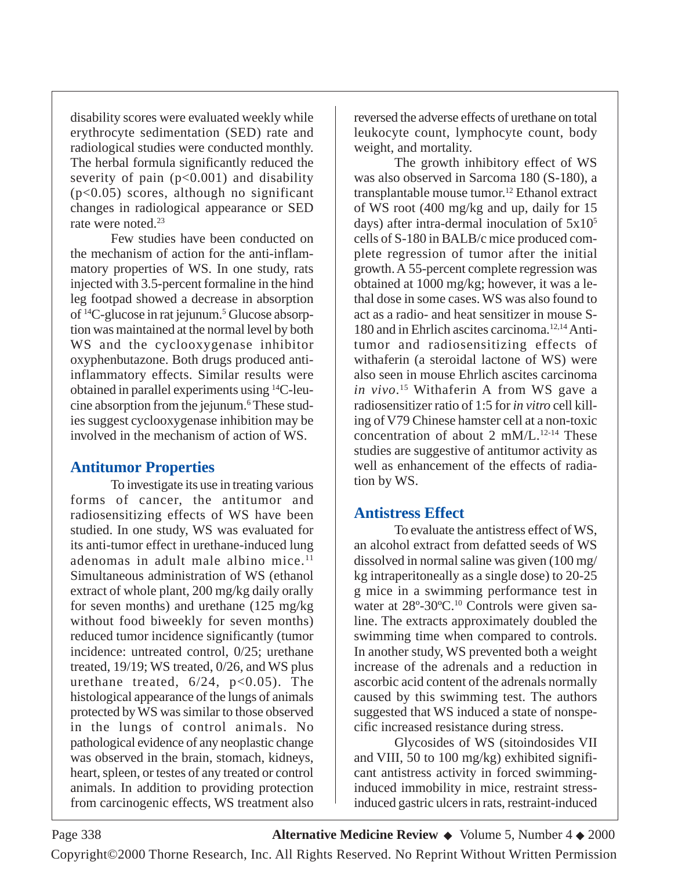disability scores were evaluated weekly while erythrocyte sedimentation (SED) rate and radiological studies were conducted monthly. The herbal formula significantly reduced the severity of pain (p<0.001) and disability (p<0.05) scores, although no significant changes in radiological appearance or SED rate were noted.<sup>23</sup>

Few studies have been conducted on the mechanism of action for the anti-inflammatory properties of WS. In one study, rats injected with 3.5-percent formaline in the hind leg footpad showed a decrease in absorption of <sup>14</sup>C-glucose in rat jejunum.<sup>5</sup> Glucose absorption was maintained at the normal level by both WS and the cyclooxygenase inhibitor oxyphenbutazone. Both drugs produced antiinflammatory effects. Similar results were obtained in parallel experiments using 14C-leucine absorption from the jejunum.<sup>6</sup> These studies suggest cyclooxygenase inhibition may be involved in the mechanism of action of WS.

#### **Antitumor Properties**

To investigate its use in treating various forms of cancer, the antitumor and radiosensitizing effects of WS have been studied. In one study, WS was evaluated for its anti-tumor effect in urethane-induced lung adenomas in adult male albino mice. $11$ Simultaneous administration of WS (ethanol extract of whole plant, 200 mg/kg daily orally for seven months) and urethane (125 mg/kg without food biweekly for seven months) reduced tumor incidence significantly (tumor incidence: untreated control, 0/25; urethane treated, 19/19; WS treated, 0/26, and WS plus urethane treated,  $6/24$ ,  $p<0.05$ ). The histological appearance of the lungs of animals protected by WS was similar to those observed in the lungs of control animals. No pathological evidence of any neoplastic change was observed in the brain, stomach, kidneys, heart, spleen, or testes of any treated or control animals. In addition to providing protection from carcinogenic effects, WS treatment also

reversed the adverse effects of urethane on total leukocyte count, lymphocyte count, body weight, and mortality.

The growth inhibitory effect of WS was also observed in Sarcoma 180 (S-180), a transplantable mouse tumor.12 Ethanol extract of WS root (400 mg/kg and up, daily for 15 days) after intra-dermal inoculation of  $5x10<sup>5</sup>$ cells of S-180 in BALB/c mice produced complete regression of tumor after the initial growth. A 55-percent complete regression was obtained at 1000 mg/kg; however, it was a lethal dose in some cases. WS was also found to act as a radio- and heat sensitizer in mouse S-180 and in Ehrlich ascites carcinoma.12,14Antitumor and radiosensitizing effects of withaferin (a steroidal lactone of WS) were also seen in mouse Ehrlich ascites carcinoma *in vivo*. <sup>15</sup> Withaferin A from WS gave a radiosensitizer ratio of 1:5 for *in vitro* cell killing of V79 Chinese hamster cell at a non-toxic concentration of about 2 mM/L.<sup>12-14</sup> These studies are suggestive of antitumor activity as well as enhancement of the effects of radiation by WS.

#### **Antistress Effect**

To evaluate the antistress effect of WS, an alcohol extract from defatted seeds of WS dissolved in normal saline was given (100 mg/ kg intraperitoneally as a single dose) to 20-25 g mice in a swimming performance test in water at  $28^{\circ}$ -30°C.<sup>10</sup> Controls were given saline. The extracts approximately doubled the swimming time when compared to controls. In another study, WS prevented both a weight increase of the adrenals and a reduction in ascorbic acid content of the adrenals normally caused by this swimming test. The authors suggested that WS induced a state of nonspecific increased resistance during stress.

Glycosides of WS (sitoindosides VII and VIII, 50 to 100 mg/kg) exhibited significant antistress activity in forced swimminginduced immobility in mice, restraint stressinduced gastric ulcers in rats, restraint-induced

Page 338 **Alternative Medicine Review** ◆ Volume 5, Number 4 ◆ 2000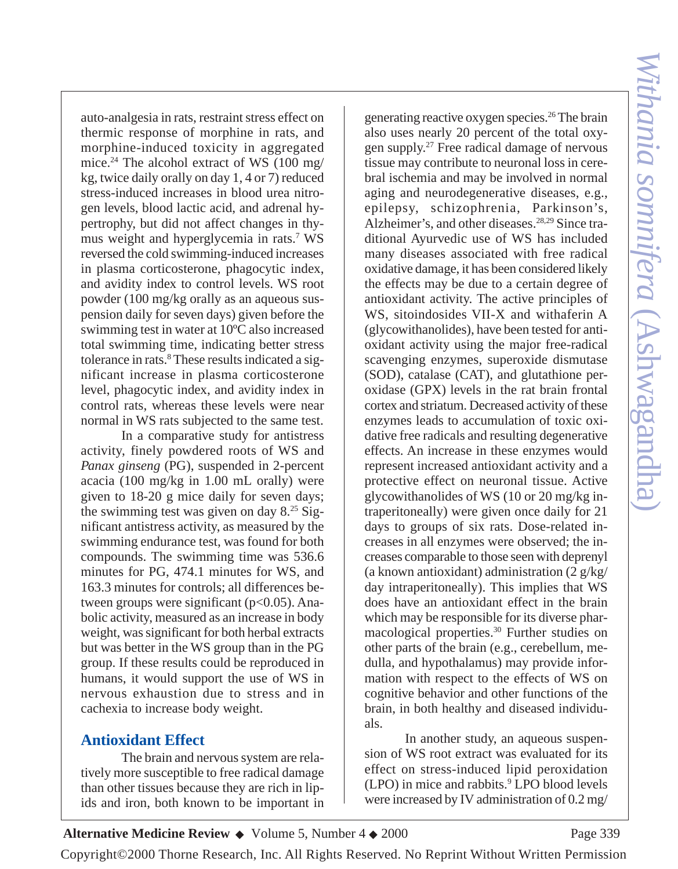auto-analgesia in rats, restraint stress effect on thermic response of morphine in rats, and morphine-induced toxicity in aggregated mice.<sup>24</sup> The alcohol extract of WS  $(100 \text{ mg}/$ kg, twice daily orally on day 1, 4 or 7) reduced stress-induced increases in blood urea nitrogen levels, blood lactic acid, and adrenal hypertrophy, but did not affect changes in thymus weight and hyperglycemia in rats.7 WS reversed the cold swimming-induced increases in plasma corticosterone, phagocytic index, and avidity index to control levels. WS root powder (100 mg/kg orally as an aqueous suspension daily for seven days) given before the swimming test in water at 10ºC also increased total swimming time, indicating better stress tolerance in rats.<sup>8</sup> These results indicated a significant increase in plasma corticosterone level, phagocytic index, and avidity index in control rats, whereas these levels were near normal in WS rats subjected to the same test.

In a comparative study for antistress activity, finely powdered roots of WS and *Panax ginseng* (PG), suspended in 2-percent acacia (100 mg/kg in 1.00 mL orally) were given to 18-20 g mice daily for seven days; the swimming test was given on day  $8.^{25}$  Significant antistress activity, as measured by the swimming endurance test, was found for both compounds. The swimming time was 536.6 minutes for PG, 474.1 minutes for WS, and 163.3 minutes for controls; all differences between groups were significant  $(p<0.05)$ . Anabolic activity, measured as an increase in body weight, was significant for both herbal extracts but was better in the WS group than in the PG group. If these results could be reproduced in humans, it would support the use of WS in nervous exhaustion due to stress and in cachexia to increase body weight.

#### **Antioxidant Effect**

The brain and nervous system are relatively more susceptible to free radical damage than other tissues because they are rich in lipids and iron, both known to be important in

generating reactive oxygen species.26 The brain also uses nearly 20 percent of the total oxygen supply.27 Free radical damage of nervous tissue may contribute to neuronal loss in cerebral ischemia and may be involved in normal aging and neurodegenerative diseases, e.g., epilepsy, schizophrenia, Parkinson's, Alzheimer's, and other diseases.<sup>28,29</sup> Since traditional Ayurvedic use of WS has included many diseases associated with free radical oxidative damage, it has been considered likely the effects may be due to a certain degree of antioxidant activity. The active principles of WS, sitoindosides VII-X and withaferin A (glycowithanolides), have been tested for antioxidant activity using the major free-radical scavenging enzymes, superoxide dismutase (SOD), catalase (CAT), and glutathione peroxidase (GPX) levels in the rat brain frontal cortex and striatum. Decreased activity of these enzymes leads to accumulation of toxic oxidative free radicals and resulting degenerative effects. An increase in these enzymes would represent increased antioxidant activity and a protective effect on neuronal tissue. Active glycowithanolides of WS (10 or 20 mg/kg intraperitoneally) were given once daily for 21 days to groups of six rats. Dose-related increases in all enzymes were observed; the increases comparable to those seen with deprenyl (a known antioxidant) administration  $(2 \frac{g}{kg})$ day intraperitoneally). This implies that WS does have an antioxidant effect in the brain which may be responsible for its diverse pharmacological properties.30 Further studies on other parts of the brain (e.g., cerebellum, medulla, and hypothalamus) may provide information with respect to the effects of WS on cognitive behavior and other functions of the brain, in both healthy and diseased individuals.

In another study, an aqueous suspension of WS root extract was evaluated for its effect on stress-induced lipid peroxidation  $(LPO)$  in mice and rabbits.<sup>9</sup> LPO blood levels were increased by IV administration of 0.2 mg/

**Alternative Medicine Review ◆** Volume 5, Number 4 ◆ 2000 Page 339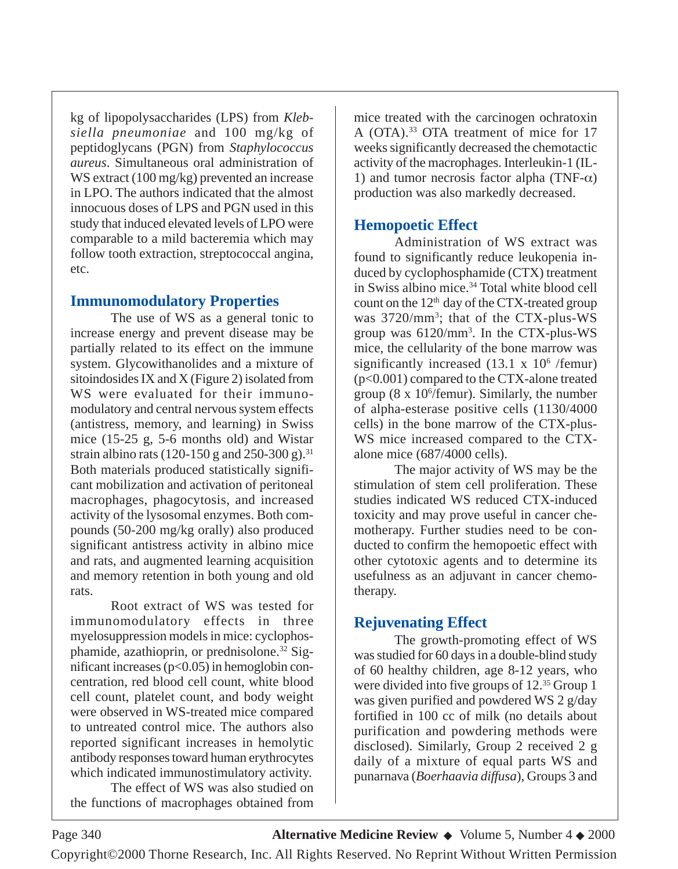kg of lipopolysaccharides (LPS) from *Klebsiella pneumoniae* and 100 mg/kg of peptidoglycans (PGN) from *Staphylococcus aureus*. Simultaneous oral administration of WS extract (100 mg/kg) prevented an increase in LPO. The authors indicated that the almost innocuous doses of LPS and PGN used in this study that induced elevated levels of LPO were comparable to a mild bacteremia which may follow tooth extraction, streptococcal angina, etc.

### **Immunomodulatory Properties**

The use of WS as a general tonic to increase energy and prevent disease may be partially related to its effect on the immune system. Glycowithanolides and a mixture of sitoindosides IX and X (Figure 2) isolated from WS were evaluated for their immunomodulatory and central nervous system effects (antistress, memory, and learning) in Swiss mice (15-25 g, 5-6 months old) and Wistar strain albino rats (120-150 g and 250-300 g).<sup>31</sup> Both materials produced statistically significant mobilization and activation of peritoneal macrophages, phagocytosis, and increased activity of the lysosomal enzymes. Both compounds (50-200 mg/kg orally) also produced significant antistress activity in albino mice and rats, and augmented learning acquisition and memory retention in both young and old rats.

Root extract of WS was tested for immunomodulatory effects in three myelosuppression models in mice: cyclophosphamide, azathioprin, or prednisolone.32 Significant increases  $(p<0.05)$  in hemoglobin concentration, red blood cell count, white blood cell count, platelet count, and body weight were observed in WS-treated mice compared to untreated control mice. The authors also reported significant increases in hemolytic antibody responses toward human erythrocytes which indicated immunostimulatory activity.

The effect of WS was also studied on the functions of macrophages obtained from

mice treated with the carcinogen ochratoxin A (OTA).33 OTA treatment of mice for 17 weeks significantly decreased the chemotactic activity of the macrophages. Interleukin-1 (IL-1) and tumor necrosis factor alpha (TNF- $α$ ) production was also markedly decreased.

## **Hemopoetic Effect**

Administration of WS extract was found to significantly reduce leukopenia induced by cyclophosphamide (CTX) treatment in Swiss albino mice.34 Total white blood cell count on the  $12<sup>th</sup>$  day of the CTX-treated group was 3720/mm<sup>3</sup>; that of the CTX-plus-WS group was 6120/mm3 . In the CTX-plus-WS mice, the cellularity of the bone marrow was significantly increased  $(13.1 \times 10^6$  /femur) (p<0.001) compared to the CTX-alone treated group  $(8 \times 10^6/\text{femur})$ . Similarly, the number of alpha-esterase positive cells (1130/4000 cells) in the bone marrow of the CTX-plus-WS mice increased compared to the CTXalone mice (687/4000 cells).

The major activity of WS may be the stimulation of stem cell proliferation. These studies indicated WS reduced CTX-induced toxicity and may prove useful in cancer chemotherapy. Further studies need to be conducted to confirm the hemopoetic effect with other cytotoxic agents and to determine its usefulness as an adjuvant in cancer chemotherapy.

## **Rejuvenating Effect**

The growth-promoting effect of WS was studied for 60 days in a double-blind study of 60 healthy children, age 8-12 years, who were divided into five groups of 12.<sup>35</sup> Group 1 was given purified and powdered WS 2 g/day fortified in 100 cc of milk (no details about purification and powdering methods were disclosed). Similarly, Group 2 received 2 g daily of a mixture of equal parts WS and punarnava (*Boerhaavia diffusa*), Groups 3 and

Copyright©2000 Thorne Research, Inc. All Rights Reserved. No Reprint Without Written Permission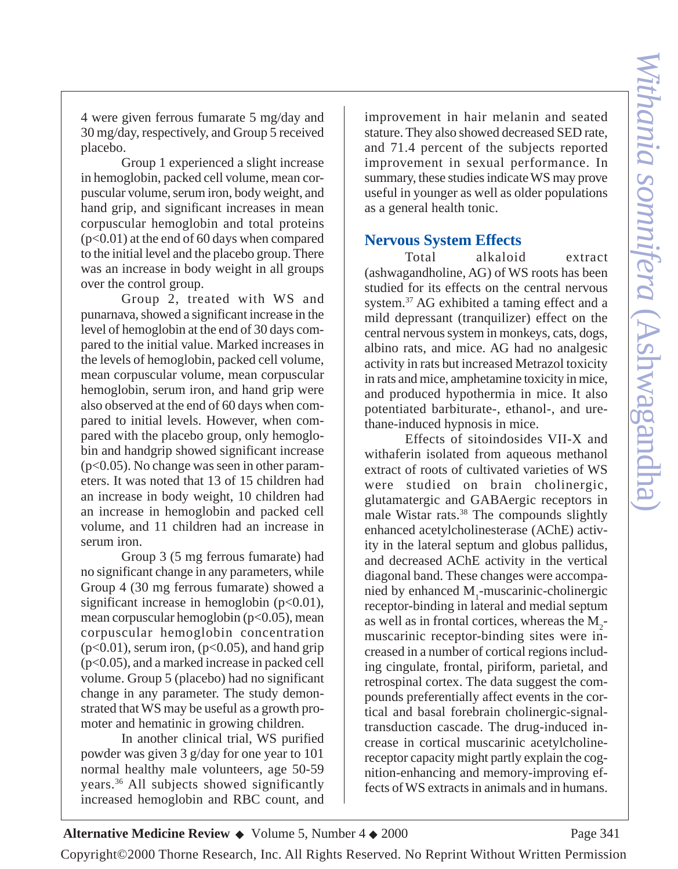4 were given ferrous fumarate 5 mg/day and 30 mg/day, respectively, and Group 5 received placebo.

Group 1 experienced a slight increase in hemoglobin, packed cell volume, mean corpuscular volume, serum iron, body weight, and hand grip, and significant increases in mean corpuscular hemoglobin and total proteins  $(p<0.01)$  at the end of 60 days when compared to the initial level and the placebo group. There was an increase in body weight in all groups over the control group.

Group 2, treated with WS and punarnava*,*showed a significant increase in the level of hemoglobin at the end of 30 days compared to the initial value. Marked increases in the levels of hemoglobin, packed cell volume, mean corpuscular volume, mean corpuscular hemoglobin, serum iron, and hand grip were also observed at the end of 60 days when compared to initial levels. However, when compared with the placebo group, only hemoglobin and handgrip showed significant increase (p<0.05). No change was seen in other parameters. It was noted that 13 of 15 children had an increase in body weight, 10 children had an increase in hemoglobin and packed cell volume, and 11 children had an increase in serum iron.

Group 3 (5 mg ferrous fumarate) had no significant change in any parameters, while Group 4 (30 mg ferrous fumarate) showed a significant increase in hemoglobin  $(p<0.01)$ , mean corpuscular hemoglobin (p<0.05), mean corpuscular hemoglobin concentration  $(p<0.01)$ , serum iron,  $(p<0.05)$ , and hand grip (p<0.05), and a marked increase in packed cell volume. Group 5 (placebo) had no significant change in any parameter. The study demonstrated that WS may be useful as a growth promoter and hematinic in growing children.

In another clinical trial, WS purified powder was given 3 g/day for one year to 101 normal healthy male volunteers, age 50-59 years.36 All subjects showed significantly increased hemoglobin and RBC count, and

improvement in hair melanin and seated stature. They also showed decreased SED rate, and 71.4 percent of the subjects reported improvement in sexual performance. In summary, these studies indicate WS may prove useful in younger as well as older populations as a general health tonic.

#### **Nervous System Effects**

Total alkaloid extract (ashwagandholine, AG) of WS roots has been studied for its effects on the central nervous system.<sup>37</sup> AG exhibited a taming effect and a mild depressant (tranquilizer) effect on the central nervous system in monkeys, cats, dogs, albino rats, and mice. AG had no analgesic activity in rats but increased Metrazol toxicity in rats and mice, amphetamine toxicity in mice, and produced hypothermia in mice. It also potentiated barbiturate-, ethanol-, and urethane-induced hypnosis in mice.

Effects of sitoindosides VII-X and withaferin isolated from aqueous methanol extract of roots of cultivated varieties of WS were studied on brain cholinergic, glutamatergic and GABAergic receptors in male Wistar rats.<sup>38</sup> The compounds slightly enhanced acetylcholinesterase (AChE) activity in the lateral septum and globus pallidus, and decreased AChE activity in the vertical diagonal band. These changes were accompanied by enhanced M<sub>1</sub>-muscarinic-cholinergic receptor-binding in lateral and medial septum as well as in frontal cortices, whereas the  $M_2$ muscarinic receptor-binding sites were increased in a number of cortical regions including cingulate, frontal, piriform, parietal, and retrospinal cortex. The data suggest the compounds preferentially affect events in the cortical and basal forebrain cholinergic-signaltransduction cascade. The drug-induced increase in cortical muscarinic acetylcholinereceptor capacity might partly explain the cognition-enhancing and memory-improving effects of WS extracts in animals and in humans.

#### **Alternative Medicine Review ◆** Volume 5, Number 4 ◆ 2000 Page 341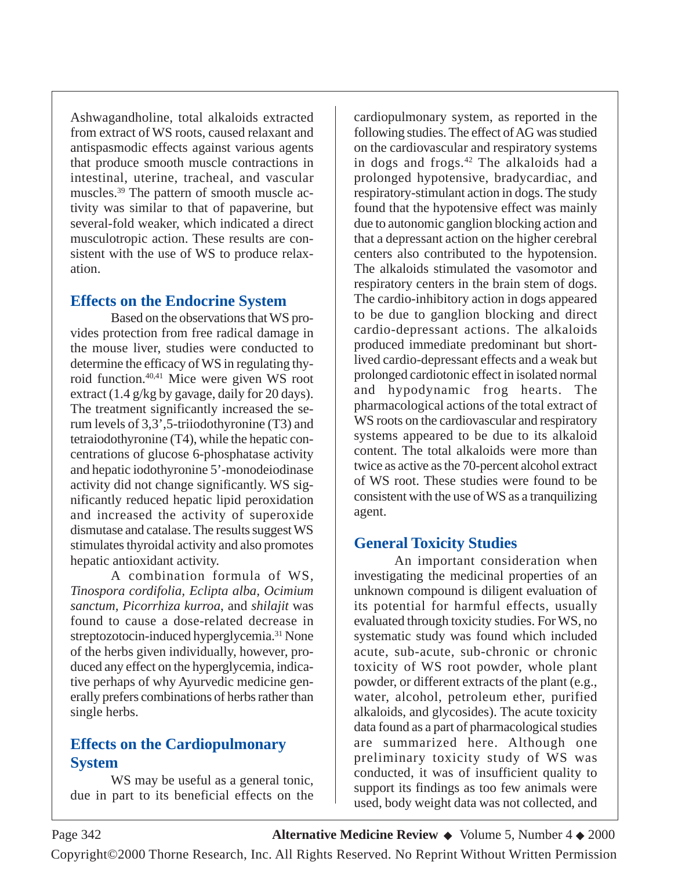Ashwagandholine, total alkaloids extracted from extract of WS roots, caused relaxant and antispasmodic effects against various agents that produce smooth muscle contractions in intestinal, uterine, tracheal, and vascular muscles.39 The pattern of smooth muscle activity was similar to that of papaverine, but several-fold weaker, which indicated a direct musculotropic action. These results are consistent with the use of WS to produce relaxation.

### **Effects on the Endocrine System**

Based on the observations that WS provides protection from free radical damage in the mouse liver, studies were conducted to determine the efficacy of WS in regulating thyroid function.40,41 Mice were given WS root extract (1.4 g/kg by gavage, daily for 20 days). The treatment significantly increased the serum levels of 3,3',5-triiodothyronine (T3) and tetraiodothyronine (T4), while the hepatic concentrations of glucose 6-phosphatase activity and hepatic iodothyronine 5'-monodeiodinase activity did not change significantly. WS significantly reduced hepatic lipid peroxidation and increased the activity of superoxide dismutase and catalase. The results suggest WS stimulates thyroidal activity and also promotes hepatic antioxidant activity.

A combination formula of WS, *Tinospora cordifolia, Eclipta alba, Ocimium sanctum, Picorrhiza kurroa*, and *shilajit* was found to cause a dose-related decrease in streptozotocin-induced hyperglycemia.<sup>31</sup> None of the herbs given individually, however, produced any effect on the hyperglycemia, indicative perhaps of why Ayurvedic medicine generally prefers combinations of herbs rather than single herbs.

# **Effects on the Cardiopulmonary System**

WS may be useful as a general tonic, due in part to its beneficial effects on the cardiopulmonary system, as reported in the following studies. The effect of AG was studied on the cardiovascular and respiratory systems in dogs and frogs.42 The alkaloids had a prolonged hypotensive, bradycardiac, and respiratory-stimulant action in dogs. The study found that the hypotensive effect was mainly due to autonomic ganglion blocking action and that a depressant action on the higher cerebral centers also contributed to the hypotension. The alkaloids stimulated the vasomotor and respiratory centers in the brain stem of dogs. The cardio-inhibitory action in dogs appeared to be due to ganglion blocking and direct cardio-depressant actions. The alkaloids produced immediate predominant but shortlived cardio-depressant effects and a weak but prolonged cardiotonic effect in isolated normal and hypodynamic frog hearts. The pharmacological actions of the total extract of WS roots on the cardiovascular and respiratory systems appeared to be due to its alkaloid content. The total alkaloids were more than twice as active as the 70-percent alcohol extract of WS root. These studies were found to be consistent with the use of WS as a tranquilizing agent.

# **General Toxicity Studies**

An important consideration when investigating the medicinal properties of an unknown compound is diligent evaluation of its potential for harmful effects, usually evaluated through toxicity studies. For WS, no systematic study was found which included acute, sub-acute, sub-chronic or chronic toxicity of WS root powder, whole plant powder, or different extracts of the plant (e.g., water, alcohol, petroleum ether, purified alkaloids, and glycosides). The acute toxicity data found as a part of pharmacological studies are summarized here. Although one preliminary toxicity study of WS was conducted, it was of insufficient quality to support its findings as too few animals were used, body weight data was not collected, and

Page 342 **Alternative Medicine Review** ◆ Volume 5, Number 4 ◆ 2000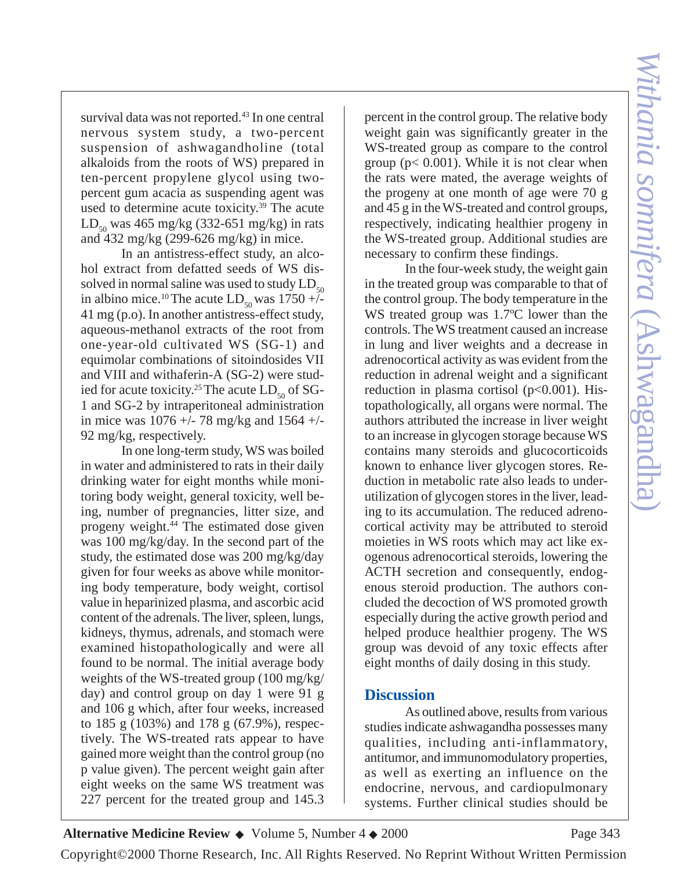survival data was not reported.<sup>43</sup> In one central nervous system study, a two-percent suspension of ashwagandholine (total alkaloids from the roots of WS) prepared in ten-percent propylene glycol using twopercent gum acacia as suspending agent was used to determine acute toxicity.<sup>39</sup> The acute  $LD<sub>50</sub>$  was 465 mg/kg (332-651 mg/kg) in rats and 432 mg/kg (299-626 mg/kg) in mice.

In an antistress-effect study, an alcohol extract from defatted seeds of WS dissolved in normal saline was used to study  $LD_{50}$ in albino mice.<sup>10</sup> The acute LD<sub>50</sub> was 1750 +/-41 mg (p.o). In another antistress-effect study, aqueous-methanol extracts of the root from one-year-old cultivated WS (SG-1) and equimolar combinations of sitoindosides VII and VIII and withaferin-A (SG-2) were studied for acute toxicity.<sup>25</sup> The acute  $LD_{50}$  of SG-1 and SG-2 by intraperitoneal administration in mice was  $1076 +/- 78$  mg/kg and  $1564 +/-$ 92 mg/kg, respectively.

In one long-term study, WS was boiled in water and administered to rats in their daily drinking water for eight months while monitoring body weight, general toxicity, well being, number of pregnancies, litter size, and progeny weight.44 The estimated dose given was 100 mg/kg/day. In the second part of the study, the estimated dose was 200 mg/kg/day given for four weeks as above while monitoring body temperature, body weight, cortisol value in heparinized plasma, and ascorbic acid content of the adrenals. The liver, spleen, lungs, kidneys, thymus, adrenals, and stomach were examined histopathologically and were all found to be normal. The initial average body weights of the WS-treated group (100 mg/kg/ day) and control group on day 1 were 91 g and 106 g which, after four weeks, increased to 185 g (103%) and 178 g (67.9%), respectively. The WS-treated rats appear to have gained more weight than the control group (no p value given). The percent weight gain after eight weeks on the same WS treatment was 227 percent for the treated group and 145.3 percent in the control group. The relative body weight gain was significantly greater in the WS-treated group as compare to the control group ( $p < 0.001$ ). While it is not clear when the rats were mated, the average weights of the progeny at one month of age were 70 g and 45 g in the WS-treated and control groups, respectively, indicating healthier progeny in the WS-treated group. Additional studies are necessary to confirm these findings.

In the four-week study, the weight gain in the treated group was comparable to that of the control group. The body temperature in the WS treated group was 1.7ºC lower than the controls. The WS treatment caused an increase in lung and liver weights and a decrease in adrenocortical activity as was evident from the reduction in adrenal weight and a significant reduction in plasma cortisol  $(p<0.001)$ . Histopathologically, all organs were normal. The authors attributed the increase in liver weight to an increase in glycogen storage because WS contains many steroids and glucocorticoids known to enhance liver glycogen stores. Reduction in metabolic rate also leads to underutilization of glycogen stores in the liver, leading to its accumulation. The reduced adrenocortical activity may be attributed to steroid moieties in WS roots which may act like exogenous adrenocortical steroids, lowering the ACTH secretion and consequently, endogenous steroid production. The authors concluded the decoction of WS promoted growth especially during the active growth period and helped produce healthier progeny. The WS group was devoid of any toxic effects after eight months of daily dosing in this study.

#### **Discussion**

As outlined above, results from various studies indicate ashwagandha possesses many qualities, including anti-inflammatory, antitumor, and immunomodulatory properties, as well as exerting an influence on the endocrine, nervous, and cardiopulmonary systems. Further clinical studies should be

**Alternative Medicine Review ◆** Volume 5, Number 4 ◆ 2000 Page 343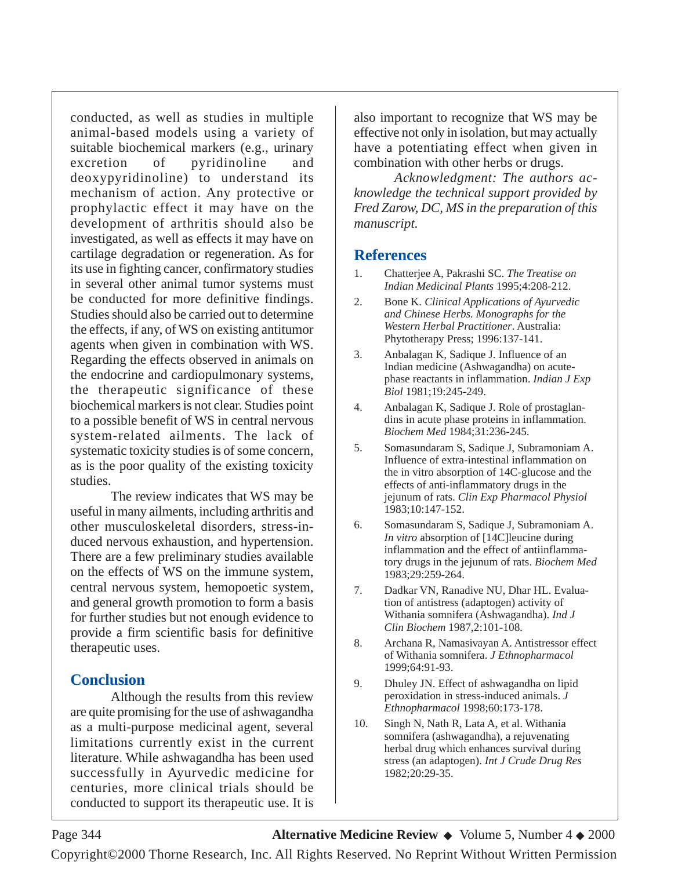conducted, as well as studies in multiple animal-based models using a variety of suitable biochemical markers (e.g., urinary excretion of pyridinoline and deoxypyridinoline) to understand its mechanism of action. Any protective or prophylactic effect it may have on the development of arthritis should also be investigated, as well as effects it may have on cartilage degradation or regeneration. As for its use in fighting cancer, confirmatory studies in several other animal tumor systems must be conducted for more definitive findings. Studies should also be carried out to determine the effects, if any, of WS on existing antitumor agents when given in combination with WS. Regarding the effects observed in animals on the endocrine and cardiopulmonary systems, the therapeutic significance of these biochemical markers is not clear. Studies point to a possible benefit of WS in central nervous system-related ailments. The lack of systematic toxicity studies is of some concern, as is the poor quality of the existing toxicity studies.

The review indicates that WS may be useful in many ailments, including arthritis and other musculoskeletal disorders, stress-induced nervous exhaustion, and hypertension. There are a few preliminary studies available on the effects of WS on the immune system, central nervous system, hemopoetic system, and general growth promotion to form a basis for further studies but not enough evidence to provide a firm scientific basis for definitive therapeutic uses.

## **Conclusion**

Although the results from this review are quite promising for the use of ashwagandha as a multi-purpose medicinal agent, several limitations currently exist in the current literature. While ashwagandha has been used successfully in Ayurvedic medicine for centuries, more clinical trials should be conducted to support its therapeutic use. It is

also important to recognize that WS may be effective not only in isolation, but may actually have a potentiating effect when given in combination with other herbs or drugs.

*Acknowledgment: The authors acknowledge the technical support provided by Fred Zarow, DC, MS in the preparation of this manuscript.*

#### **References**

- 1. Chatterjee A, Pakrashi SC. *The Treatise on Indian Medicinal Plants* 1995;4:208-212.
- 2. Bone K. *Clinical Applications of Ayurvedic and Chinese Herbs. Monographs for the Western Herbal Practitioner*. Australia: Phytotherapy Press; 1996:137-141.
- 3. Anbalagan K, Sadique J. Influence of an Indian medicine (Ashwagandha) on acutephase reactants in inflammation. *Indian J Exp Biol* 1981;19:245-249.
- 4. Anbalagan K, Sadique J. Role of prostaglandins in acute phase proteins in inflammation. *Biochem Med* 1984;31:236-245.
- 5. Somasundaram S, Sadique J, Subramoniam A. Influence of extra-intestinal inflammation on the in vitro absorption of 14C-glucose and the effects of anti-inflammatory drugs in the jejunum of rats. *Clin Exp Pharmacol Physiol* 1983;10:147-152.
- 6. Somasundaram S, Sadique J, Subramoniam A. *In vitro* absorption of [14C]leucine during inflammation and the effect of antiinflammatory drugs in the jejunum of rats. *Biochem Med* 1983;29:259-264.
- 7. Dadkar VN, Ranadive NU, Dhar HL. Evaluation of antistress (adaptogen) activity of Withania somnifera (Ashwagandha). *Ind J Clin Biochem* 1987,2:101-108.
- 8. Archana R, Namasivayan A. Antistressor effect of Withania somnifera. *J Ethnopharmacol* 1999;64:91-93.
- 9. Dhuley JN. Effect of ashwagandha on lipid peroxidation in stress-induced animals. *J Ethnopharmacol* 1998;60:173-178.
- 10. Singh N, Nath R, Lata A, et al. Withania somnifera (ashwagandha), a rejuvenating herbal drug which enhances survival during stress (an adaptogen). *Int J Crude Drug Res* 1982;20:29-35.

#### Page 344 **Alternative Medicine Review** ◆ Volume 5, Number 4 ◆ 2000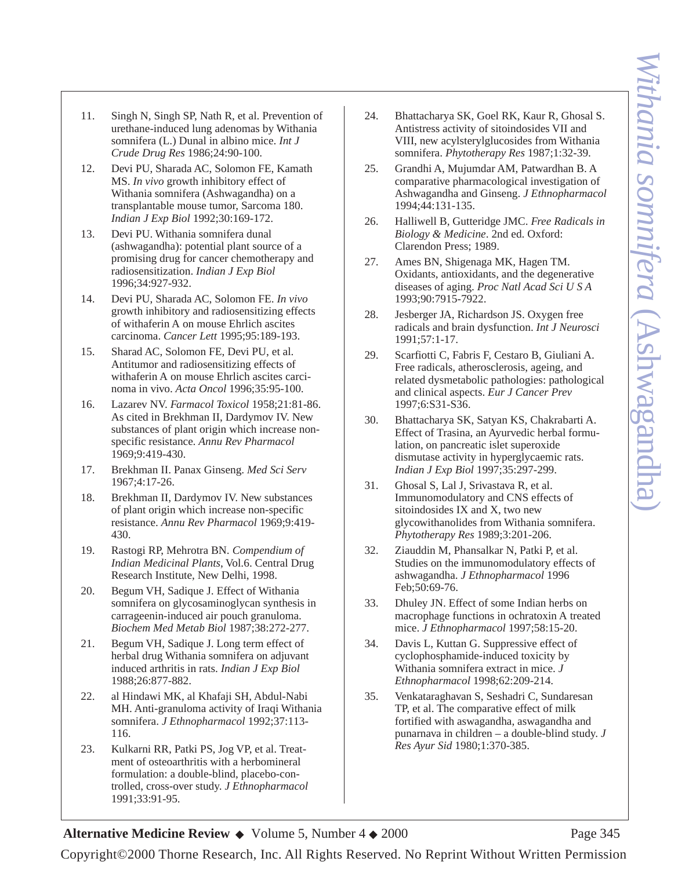- 11. Singh N, Singh SP, Nath R, et al. Prevention of urethane-induced lung adenomas by Withania somnifera (L.) Dunal in albino mice. *Int J Crude Drug Res* 1986;24:90-100.
- 12. Devi PU, Sharada AC, Solomon FE, Kamath MS. *In vivo* growth inhibitory effect of Withania somnifera (Ashwagandha) on a transplantable mouse tumor, Sarcoma 180. *Indian J Exp Biol* 1992;30:169-172.
- 13. Devi PU. Withania somnifera dunal (ashwagandha): potential plant source of a promising drug for cancer chemotherapy and radiosensitization. *Indian J Exp Biol* 1996;34:927-932.
- 14. Devi PU, Sharada AC, Solomon FE. *In vivo* growth inhibitory and radiosensitizing effects of withaferin A on mouse Ehrlich ascites carcinoma. *Cancer Lett* 1995;95:189-193.
- 15. Sharad AC, Solomon FE, Devi PU, et al. Antitumor and radiosensitizing effects of withaferin A on mouse Ehrlich ascites carcinoma in vivo. *Acta Oncol* 1996;35:95-100.
- 16. Lazarev NV. *Farmacol Toxicol* 1958;21:81-86. As cited in Brekhman II, Dardymov IV. New substances of plant origin which increase nonspecific resistance. *Annu Rev Pharmacol* 1969;9:419-430.
- 17. Brekhman II. Panax Ginseng. *Med Sci Serv* 1967;4:17-26.
- 18. Brekhman II, Dardymov IV. New substances of plant origin which increase non-specific resistance. *Annu Rev Pharmacol* 1969;9:419- 430.
- 19. Rastogi RP, Mehrotra BN. *Compendium of Indian Medicinal Plants*, Vol.6. Central Drug Research Institute, New Delhi, 1998.
- 20. Begum VH, Sadique J. Effect of Withania somnifera on glycosaminoglycan synthesis in carrageenin-induced air pouch granuloma. *Biochem Med Metab Biol* 1987;38:272-277.
- 21. Begum VH, Sadique J. Long term effect of herbal drug Withania somnifera on adjuvant induced arthritis in rats. *Indian J Exp Biol* 1988;26:877-882.
- 22. al Hindawi MK, al Khafaji SH, Abdul-Nabi MH. Anti-granuloma activity of Iraqi Withania somnifera. *J Ethnopharmacol* 1992;37:113- 116.
- 23. Kulkarni RR, Patki PS, Jog VP, et al. Treatment of osteoarthritis with a herbomineral formulation: a double-blind, placebo-controlled, cross-over study. *J Ethnopharmacol* 1991;33:91-95.
- 24. Bhattacharya SK, Goel RK, Kaur R, Ghosal S. Antistress activity of sitoindosides VII and VIII, new acylsterylglucosides from Withania somnifera. *Phytotherapy Res* 1987;1:32-39.
- 25. Grandhi A, Mujumdar AM, Patwardhan B. A comparative pharmacological investigation of Ashwagandha and Ginseng. *J Ethnopharmacol* 1994;44:131-135.
- 26. Halliwell B, Gutteridge JMC. *Free Radicals in Biology & Medicine*. 2nd ed. Oxford: Clarendon Press; 1989.
- 27. Ames BN, Shigenaga MK, Hagen TM. Oxidants, antioxidants, and the degenerative diseases of aging. *Proc Natl Acad Sci U S A* 1993;90:7915-7922.
- 28. Jesberger JA, Richardson JS. Oxygen free radicals and brain dysfunction. *Int J Neurosci* 1991;57:1-17.
- 29. Scarfiotti C, Fabris F, Cestaro B, Giuliani A. Free radicals, atherosclerosis, ageing, and related dysmetabolic pathologies: pathological and clinical aspects. *Eur J Cancer Prev* 1997;6:S31-S36.
- 30. Bhattacharya SK, Satyan KS, Chakrabarti A. Effect of Trasina, an Ayurvedic herbal formulation, on pancreatic islet superoxide dismutase activity in hyperglycaemic rats. *Indian J Exp Biol* 1997;35:297-299.
- 31. Ghosal S, Lal J, Srivastava R, et al. Immunomodulatory and CNS effects of sitoindosides IX and X, two new glycowithanolides from Withania somnifera. *Phytotherapy Res* 1989;3:201-206.
- 32. Ziauddin M, Phansalkar N, Patki P, et al. Studies on the immunomodulatory effects of ashwagandha. *J Ethnopharmacol* 1996 Feb;50:69-76.
- 33. Dhuley JN. Effect of some Indian herbs on macrophage functions in ochratoxin A treated mice. *J Ethnopharmacol* 1997;58:15-20.
- 34. Davis L, Kuttan G. Suppressive effect of cyclophosphamide-induced toxicity by Withania somnifera extract in mice. *J Ethnopharmacol* 1998;62:209-214.
- 35. Venkataraghavan S, Seshadri C, Sundaresan TP, et al. The comparative effect of milk fortified with aswagandha, aswagandha and punarnava in children – a double-blind study. *J Res Ayur Sid* 1980;1:370-385.

#### **Alternative Medicine Review ◆** Volume 5, Number 4 ◆ 2000 Page 345